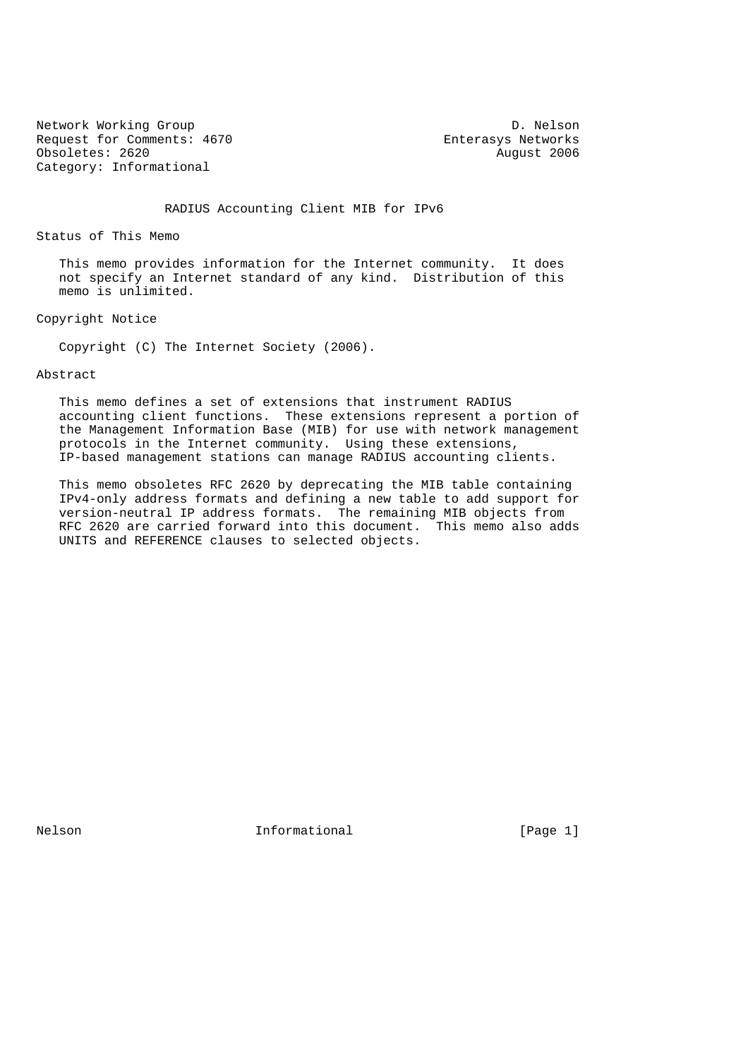Network Working Group Description of the U.S. of the D. Nelson Request for Comments: 4670 Enterasys Networks Obsoletes: 2620 August 2006 Category: Informational

RADIUS Accounting Client MIB for IPv6

Status of This Memo

 This memo provides information for the Internet community. It does not specify an Internet standard of any kind. Distribution of this memo is unlimited.

Copyright Notice

Copyright (C) The Internet Society (2006).

### Abstract

 This memo defines a set of extensions that instrument RADIUS accounting client functions. These extensions represent a portion of the Management Information Base (MIB) for use with network management protocols in the Internet community. Using these extensions, IP-based management stations can manage RADIUS accounting clients.

 This memo obsoletes RFC 2620 by deprecating the MIB table containing IPv4-only address formats and defining a new table to add support for version-neutral IP address formats. The remaining MIB objects from RFC 2620 are carried forward into this document. This memo also adds UNITS and REFERENCE clauses to selected objects.

Nelson **Informational** Informational [Page 1]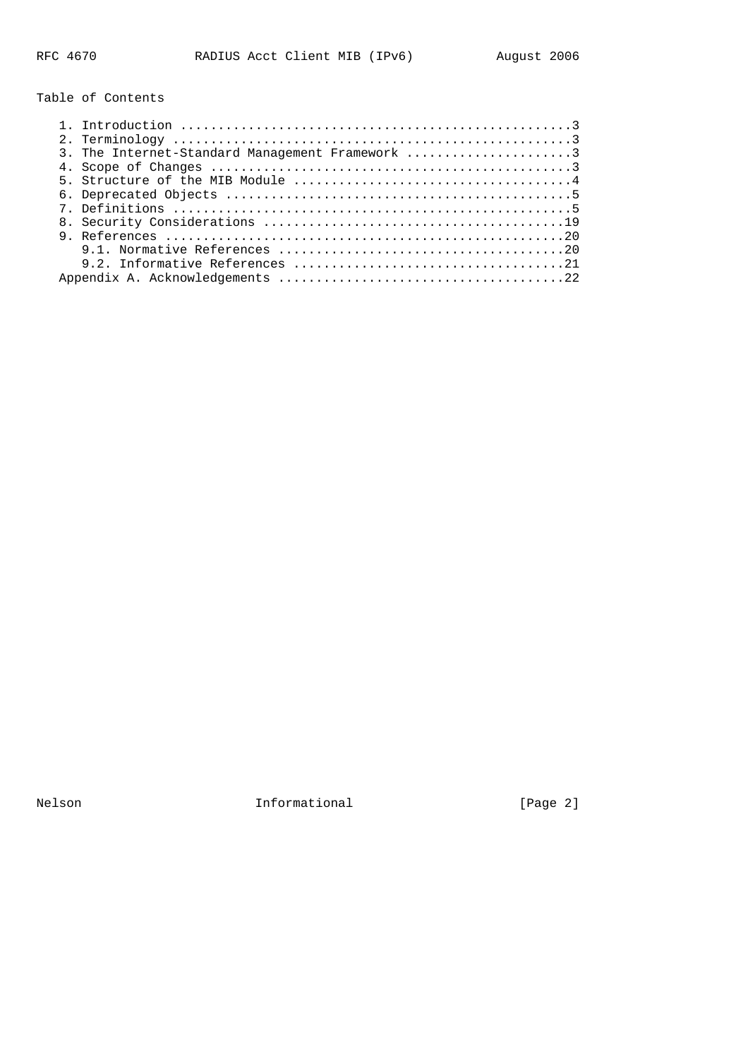Table of Contents

| 3. The Internet-Standard Management Framework 3 |
|-------------------------------------------------|
|                                                 |
|                                                 |
|                                                 |
|                                                 |
|                                                 |
|                                                 |
|                                                 |
|                                                 |
|                                                 |

Nelson **Informational Informational Informational** [Page 2]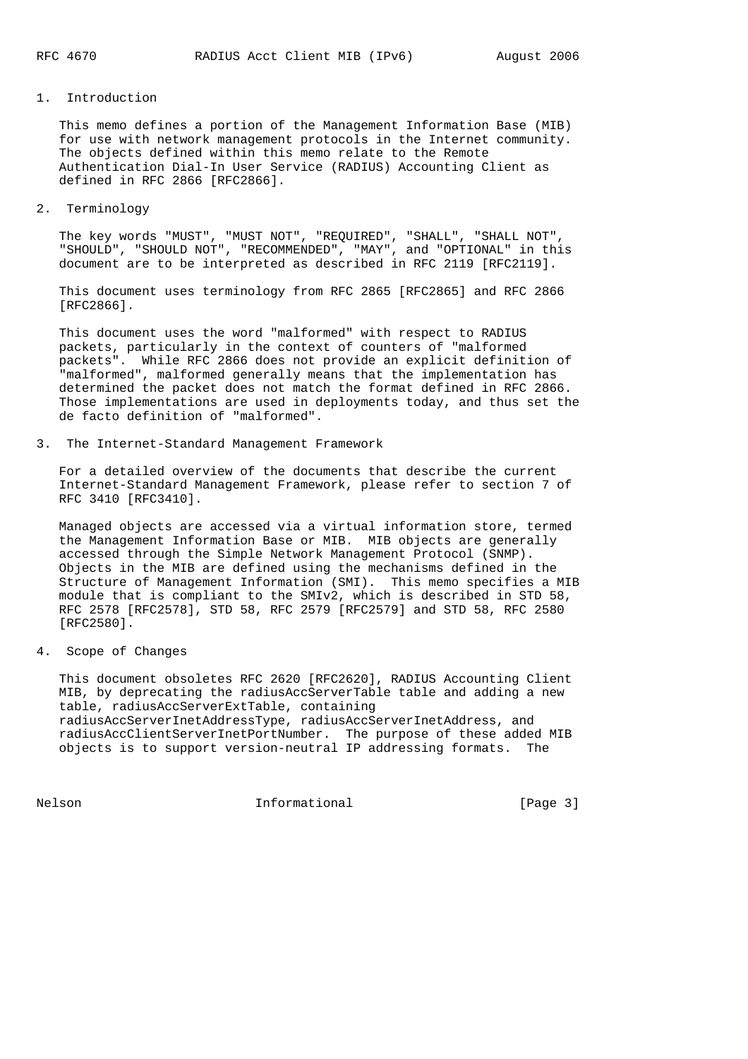#### 1. Introduction

 This memo defines a portion of the Management Information Base (MIB) for use with network management protocols in the Internet community. The objects defined within this memo relate to the Remote Authentication Dial-In User Service (RADIUS) Accounting Client as defined in RFC 2866 [RFC2866].

2. Terminology

 The key words "MUST", "MUST NOT", "REQUIRED", "SHALL", "SHALL NOT", "SHOULD", "SHOULD NOT", "RECOMMENDED", "MAY", and "OPTIONAL" in this document are to be interpreted as described in RFC 2119 [RFC2119].

 This document uses terminology from RFC 2865 [RFC2865] and RFC 2866 [RFC2866].

 This document uses the word "malformed" with respect to RADIUS packets, particularly in the context of counters of "malformed packets". While RFC 2866 does not provide an explicit definition of "malformed", malformed generally means that the implementation has determined the packet does not match the format defined in RFC 2866. Those implementations are used in deployments today, and thus set the de facto definition of "malformed".

3. The Internet-Standard Management Framework

 For a detailed overview of the documents that describe the current Internet-Standard Management Framework, please refer to section 7 of RFC 3410 [RFC3410].

 Managed objects are accessed via a virtual information store, termed the Management Information Base or MIB. MIB objects are generally accessed through the Simple Network Management Protocol (SNMP). Objects in the MIB are defined using the mechanisms defined in the Structure of Management Information (SMI). This memo specifies a MIB module that is compliant to the SMIv2, which is described in STD 58, RFC 2578 [RFC2578], STD 58, RFC 2579 [RFC2579] and STD 58, RFC 2580 [RFC2580].

4. Scope of Changes

 This document obsoletes RFC 2620 [RFC2620], RADIUS Accounting Client MIB, by deprecating the radiusAccServerTable table and adding a new table, radiusAccServerExtTable, containing radiusAccServerInetAddressType, radiusAccServerInetAddress, and radiusAccClientServerInetPortNumber. The purpose of these added MIB objects is to support version-neutral IP addressing formats.

Nelson **Informational Informational** [Page 3]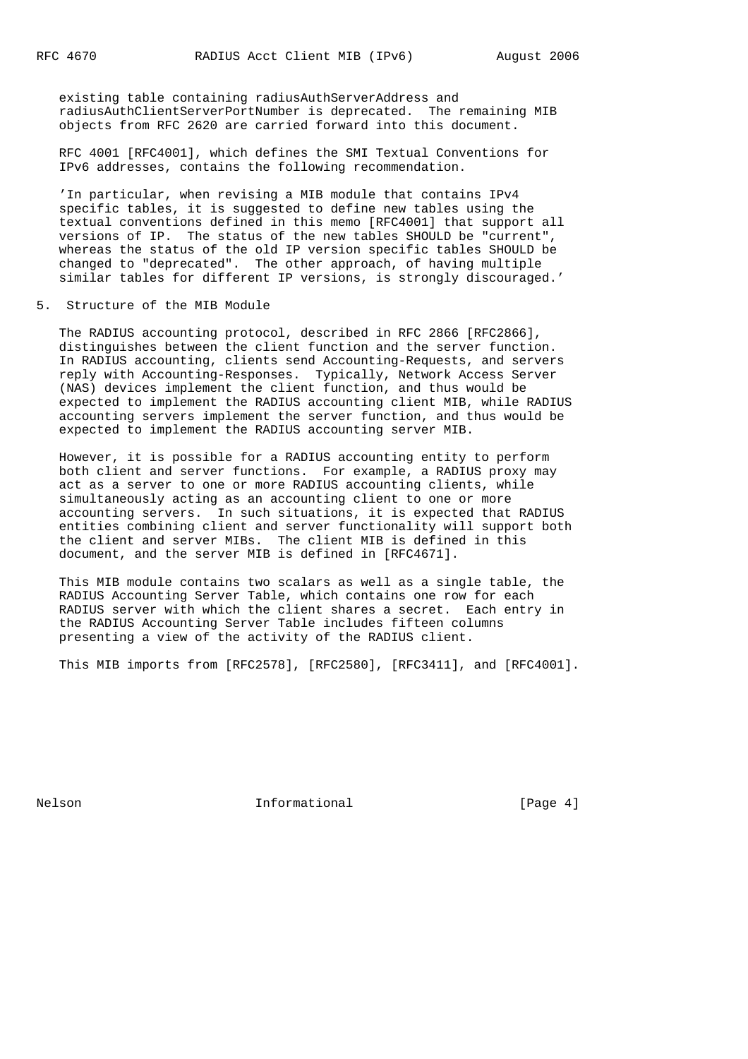existing table containing radiusAuthServerAddress and radiusAuthClientServerPortNumber is deprecated. The remaining MIB objects from RFC 2620 are carried forward into this document.

 RFC 4001 [RFC4001], which defines the SMI Textual Conventions for IPv6 addresses, contains the following recommendation.

 'In particular, when revising a MIB module that contains IPv4 specific tables, it is suggested to define new tables using the textual conventions defined in this memo [RFC4001] that support all versions of IP. The status of the new tables SHOULD be "current", whereas the status of the old IP version specific tables SHOULD be changed to "deprecated". The other approach, of having multiple similar tables for different IP versions, is strongly discouraged.'

5. Structure of the MIB Module

 The RADIUS accounting protocol, described in RFC 2866 [RFC2866], distinguishes between the client function and the server function. In RADIUS accounting, clients send Accounting-Requests, and servers reply with Accounting-Responses. Typically, Network Access Server (NAS) devices implement the client function, and thus would be expected to implement the RADIUS accounting client MIB, while RADIUS accounting servers implement the server function, and thus would be expected to implement the RADIUS accounting server MIB.

 However, it is possible for a RADIUS accounting entity to perform both client and server functions. For example, a RADIUS proxy may act as a server to one or more RADIUS accounting clients, while simultaneously acting as an accounting client to one or more accounting servers. In such situations, it is expected that RADIUS entities combining client and server functionality will support both the client and server MIBs. The client MIB is defined in this document, and the server MIB is defined in [RFC4671].

 This MIB module contains two scalars as well as a single table, the RADIUS Accounting Server Table, which contains one row for each RADIUS server with which the client shares a secret. Each entry in the RADIUS Accounting Server Table includes fifteen columns presenting a view of the activity of the RADIUS client.

This MIB imports from [RFC2578], [RFC2580], [RFC3411], and [RFC4001].

Nelson **Informational Informational** [Page 4]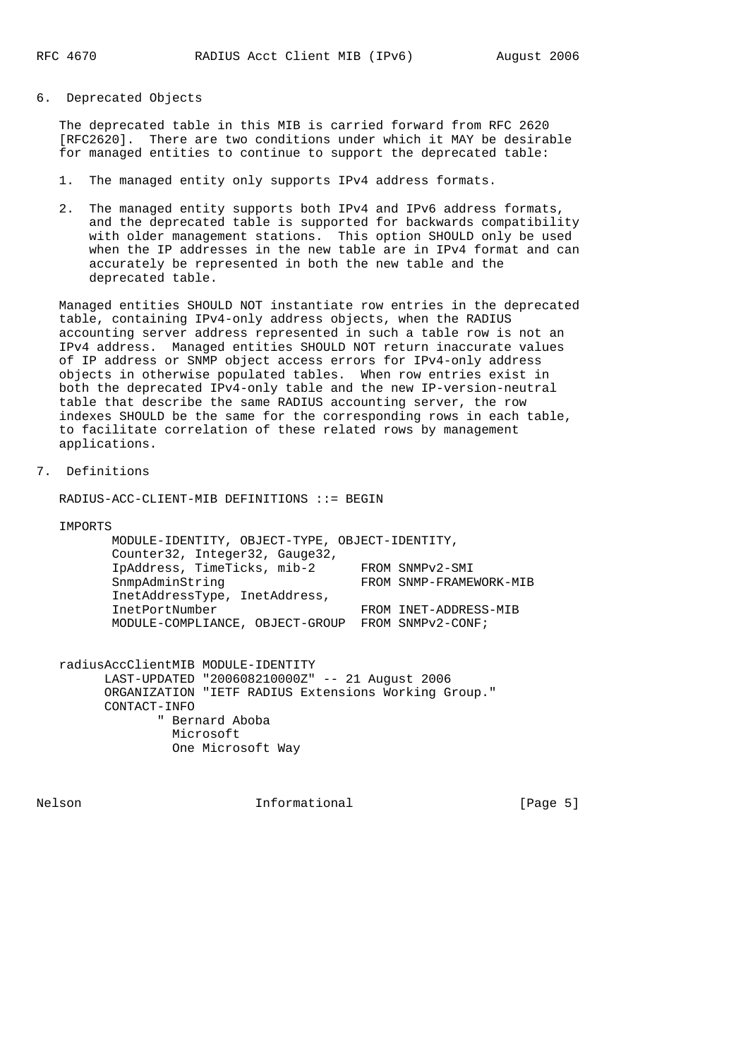6. Deprecated Objects

 The deprecated table in this MIB is carried forward from RFC 2620 [RFC2620]. There are two conditions under which it MAY be desirable for managed entities to continue to support the deprecated table:

- 1. The managed entity only supports IPv4 address formats.
- 2. The managed entity supports both IPv4 and IPv6 address formats, and the deprecated table is supported for backwards compatibility with older management stations. This option SHOULD only be used when the IP addresses in the new table are in IPv4 format and can accurately be represented in both the new table and the deprecated table.

 Managed entities SHOULD NOT instantiate row entries in the deprecated table, containing IPv4-only address objects, when the RADIUS accounting server address represented in such a table row is not an IPv4 address. Managed entities SHOULD NOT return inaccurate values of IP address or SNMP object access errors for IPv4-only address objects in otherwise populated tables. When row entries exist in both the deprecated IPv4-only table and the new IP-version-neutral table that describe the same RADIUS accounting server, the row indexes SHOULD be the same for the corresponding rows in each table, to facilitate correlation of these related rows by management applications.

7. Definitions

RADIUS-ACC-CLIENT-MIB DEFINITIONS ::= BEGIN

IMPORTS

| MODULE-IDENTITY, OBJECT-TYPE, OBJECT-IDENTITY, |                         |
|------------------------------------------------|-------------------------|
| Counter32, Integer32, Gauge32,                 |                         |
| IpAddress, TimeTicks, mib-2                    | FROM SNMPv2-SMI         |
| SnmpAdminString                                | FROM SNMP-FRAMEWORK-MIB |
| InetAddressType, InetAddress,                  |                         |
| InetPortNumber                                 | FROM INET-ADDRESS-MIB   |
| MODULE-COMPLIANCE, OBJECT-GROUP                | FROM SNMPv2-CONF;       |
|                                                |                         |

 radiusAccClientMIB MODULE-IDENTITY LAST-UPDATED "200608210000Z" -- 21 August 2006 ORGANIZATION "IETF RADIUS Extensions Working Group." CONTACT-INFO " Bernard Aboba Microsoft One Microsoft Way

Nelson **Informational** Informational [Page 5]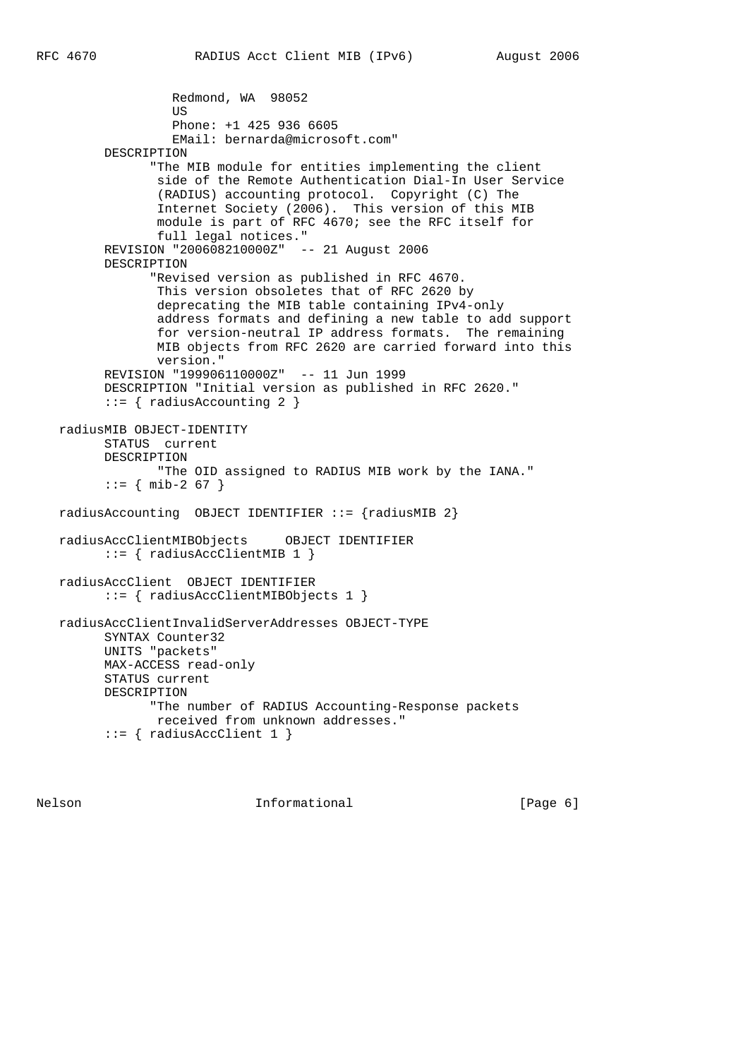```
 Redmond, WA 98052
US
                   Phone: +1 425 936 6605
                   EMail: bernarda@microsoft.com"
         DESCRIPTION
                "The MIB module for entities implementing the client
                side of the Remote Authentication Dial-In User Service
                 (RADIUS) accounting protocol. Copyright (C) The
                 Internet Society (2006). This version of this MIB
                 module is part of RFC 4670; see the RFC itself for
                 full legal notices."
         REVISION "200608210000Z" -- 21 August 2006
         DESCRIPTION
                "Revised version as published in RFC 4670.
                 This version obsoletes that of RFC 2620 by
                 deprecating the MIB table containing IPv4-only
                 address formats and defining a new table to add support
                 for version-neutral IP address formats. The remaining
                 MIB objects from RFC 2620 are carried forward into this
                 version."
         REVISION "199906110000Z" -- 11 Jun 1999
         DESCRIPTION "Initial version as published in RFC 2620."
          ::= { radiusAccounting 2 }
   radiusMIB OBJECT-IDENTITY
         STATUS current
         DESCRIPTION
                 "The OID assigned to RADIUS MIB work by the IANA."
         : := \{ \text{min-2 67 } \}radiusAccounting OBJECT IDENTIFIER ::= {radiusMIB 2}
   radiusAccClientMIBObjects OBJECT IDENTIFIER
         ::= { radiusAccClientMIB 1 }
   radiusAccClient OBJECT IDENTIFIER
          ::= { radiusAccClientMIBObjects 1 }
   radiusAccClientInvalidServerAddresses OBJECT-TYPE
         SYNTAX Counter32
         UNITS "packets"
         MAX-ACCESS read-only
         STATUS current
         DESCRIPTION
                "The number of RADIUS Accounting-Response packets
                received from unknown addresses."
          ::= { radiusAccClient 1 }
```
Nelson **Informational Informational** [Page 6]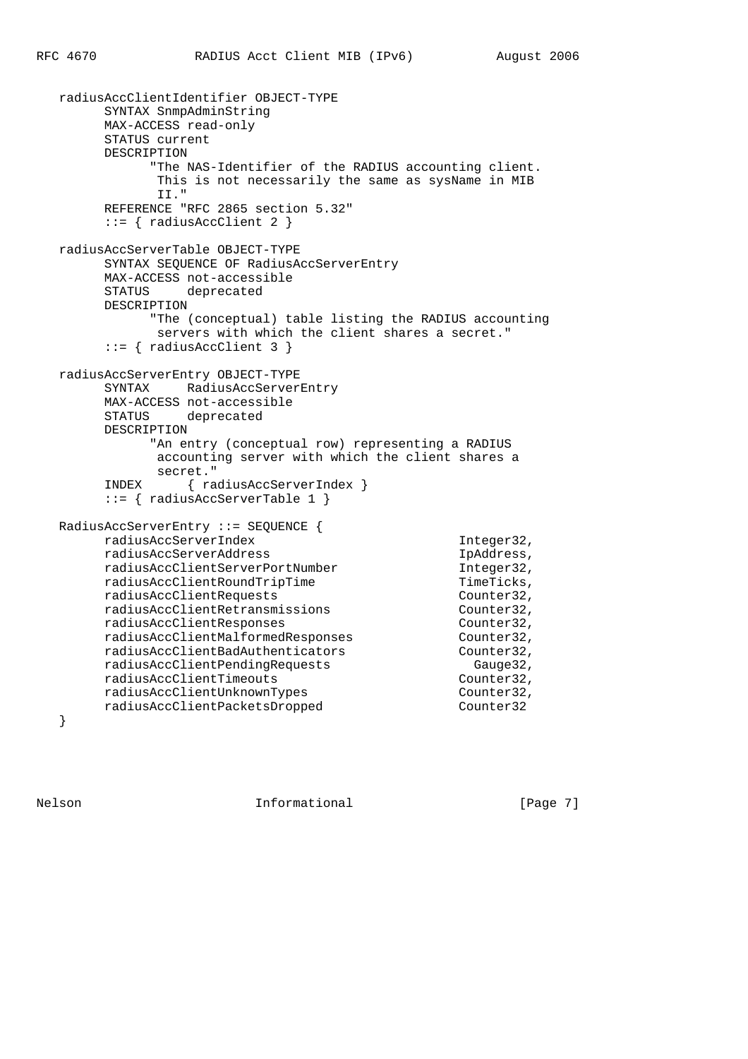```
 radiusAccClientIdentifier OBJECT-TYPE
        SYNTAX SnmpAdminString
        MAX-ACCESS read-only
        STATUS current
        DESCRIPTION
              "The NAS-Identifier of the RADIUS accounting client.
              This is not necessarily the same as sysName in MIB
              II."
        REFERENCE "RFC 2865 section 5.32"
        ::= { radiusAccClient 2 }
   radiusAccServerTable OBJECT-TYPE
        SYNTAX SEQUENCE OF RadiusAccServerEntry
        MAX-ACCESS not-accessible
        STATUS deprecated
        DESCRIPTION
              "The (conceptual) table listing the RADIUS accounting
              servers with which the client shares a secret."
        ::= { radiusAccClient 3 }
   radiusAccServerEntry OBJECT-TYPE
        SYNTAX RadiusAccServerEntry
        MAX-ACCESS not-accessible
        STATUS deprecated
        DESCRIPTION
              "An entry (conceptual row) representing a RADIUS
              accounting server with which the client shares a
              secret."
        INDEX { radiusAccServerIndex }
        ::= { radiusAccServerTable 1 }
   RadiusAccServerEntry ::= SEQUENCE {
        radiusAccServerIndex Integer32,
        radiusAccServerAddress IpAddress,
        radiusAccClientServerPortNumber Integer32,
       radiusAccClientRoundTripTime TimeTicks,
        radiusAccClientRequests Counter32,
        radiusAccClientRetransmissions Counter32,
        radiusAccClientResponses Counter32,
 radiusAccClientMalformedResponses Counter32,
 radiusAccClientBadAuthenticators Counter32,
 radiusAccClientPendingRequests Gauge32,
       radiusAccClientTimeouts Counter32,
       radiusAccClientUnknownTypes counter32,<br>
radiusAccClientPacketsDropped counter32
       radiusAccClientPacketsDropped
```
}

Nelson **Informational Informational** [Page 7]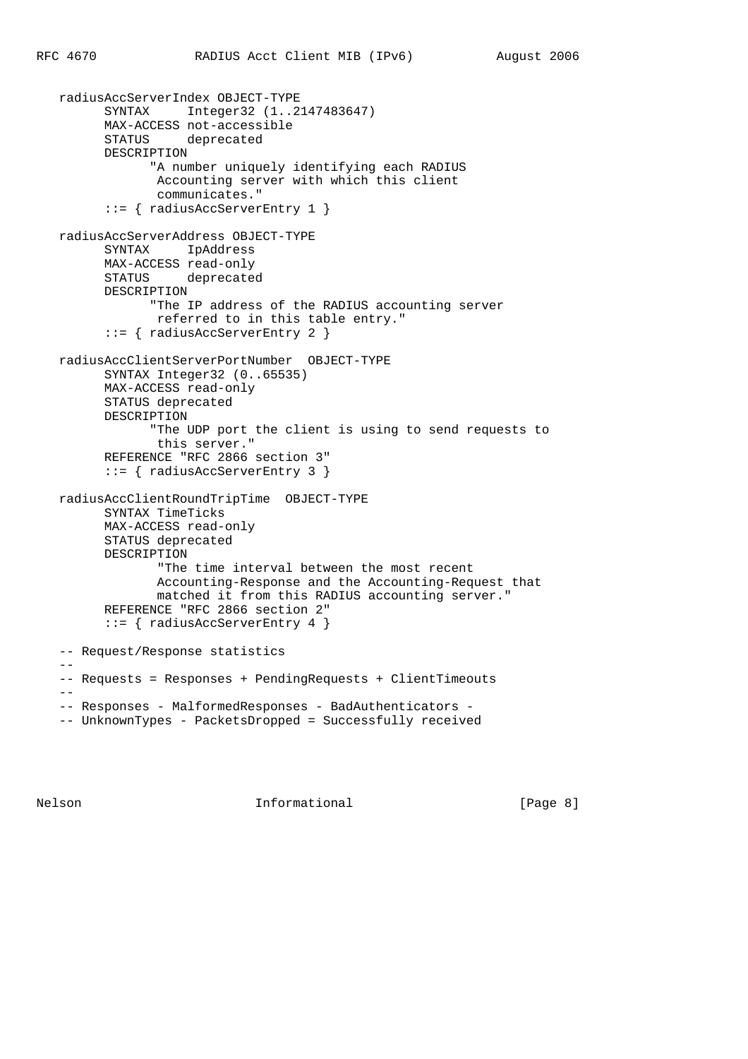```
 radiusAccServerIndex OBJECT-TYPE
       SYNTAX Integer32 (1..2147483647)
       MAX-ACCESS not-accessible
       STATUS deprecated
       DESCRIPTION
             "A number uniquely identifying each RADIUS
              Accounting server with which this client
              communicates."
       ::= { radiusAccServerEntry 1 }
 radiusAccServerAddress OBJECT-TYPE
       SYNTAX IpAddress
       MAX-ACCESS read-only
       STATUS deprecated
       DESCRIPTION
             "The IP address of the RADIUS accounting server
              referred to in this table entry."
       ::= { radiusAccServerEntry 2 }
 radiusAccClientServerPortNumber OBJECT-TYPE
       SYNTAX Integer32 (0..65535)
       MAX-ACCESS read-only
       STATUS deprecated
       DESCRIPTION
             "The UDP port the client is using to send requests to
              this server."
       REFERENCE "RFC 2866 section 3"
       ::= { radiusAccServerEntry 3 }
 radiusAccClientRoundTripTime OBJECT-TYPE
       SYNTAX TimeTicks
       MAX-ACCESS read-only
       STATUS deprecated
       DESCRIPTION
              "The time interval between the most recent
              Accounting-Response and the Accounting-Request that
              matched it from this RADIUS accounting server."
       REFERENCE "RFC 2866 section 2"
       ::= { radiusAccServerEntry 4 }
 -- Request/Response statistics
- -- Requests = Responses + PendingRequests + ClientTimeouts
 --
 -- Responses - MalformedResponses - BadAuthenticators -
 -- UnknownTypes - PacketsDropped = Successfully received
```
Nelson **Informational Informational** [Page 8]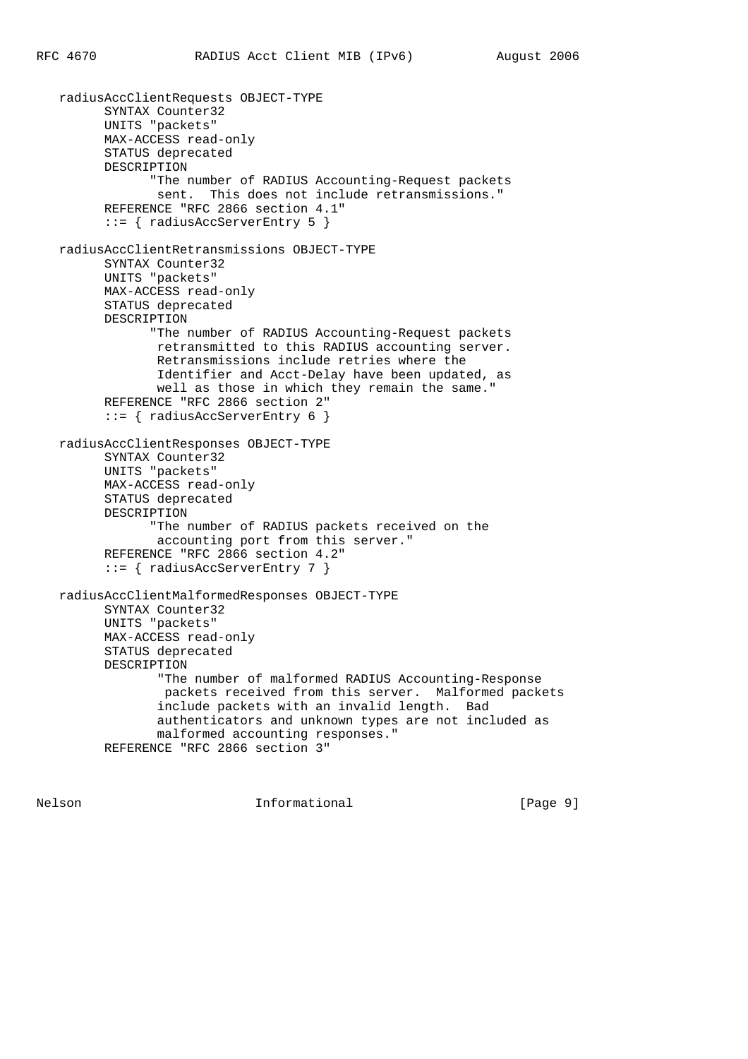```
 radiusAccClientRequests OBJECT-TYPE
       SYNTAX Counter32
       UNITS "packets"
       MAX-ACCESS read-only
       STATUS deprecated
       DESCRIPTION
             "The number of RADIUS Accounting-Request packets
             sent. This does not include retransmissions."
       REFERENCE "RFC 2866 section 4.1"
       ::= { radiusAccServerEntry 5 }
 radiusAccClientRetransmissions OBJECT-TYPE
       SYNTAX Counter32
       UNITS "packets"
       MAX-ACCESS read-only
       STATUS deprecated
       DESCRIPTION
             "The number of RADIUS Accounting-Request packets
              retransmitted to this RADIUS accounting server.
              Retransmissions include retries where the
              Identifier and Acct-Delay have been updated, as
              well as those in which they remain the same."
       REFERENCE "RFC 2866 section 2"
       ::= { radiusAccServerEntry 6 }
 radiusAccClientResponses OBJECT-TYPE
       SYNTAX Counter32
       UNITS "packets"
       MAX-ACCESS read-only
       STATUS deprecated
       DESCRIPTION
             "The number of RADIUS packets received on the
              accounting port from this server."
       REFERENCE "RFC 2866 section 4.2"
       ::= { radiusAccServerEntry 7 }
 radiusAccClientMalformedResponses OBJECT-TYPE
       SYNTAX Counter32
       UNITS "packets"
       MAX-ACCESS read-only
       STATUS deprecated
       DESCRIPTION
              "The number of malformed RADIUS Accounting-Response
               packets received from this server. Malformed packets
              include packets with an invalid length. Bad
              authenticators and unknown types are not included as
              malformed accounting responses."
       REFERENCE "RFC 2866 section 3"
```
Nelson **Informational Informational** [Page 9]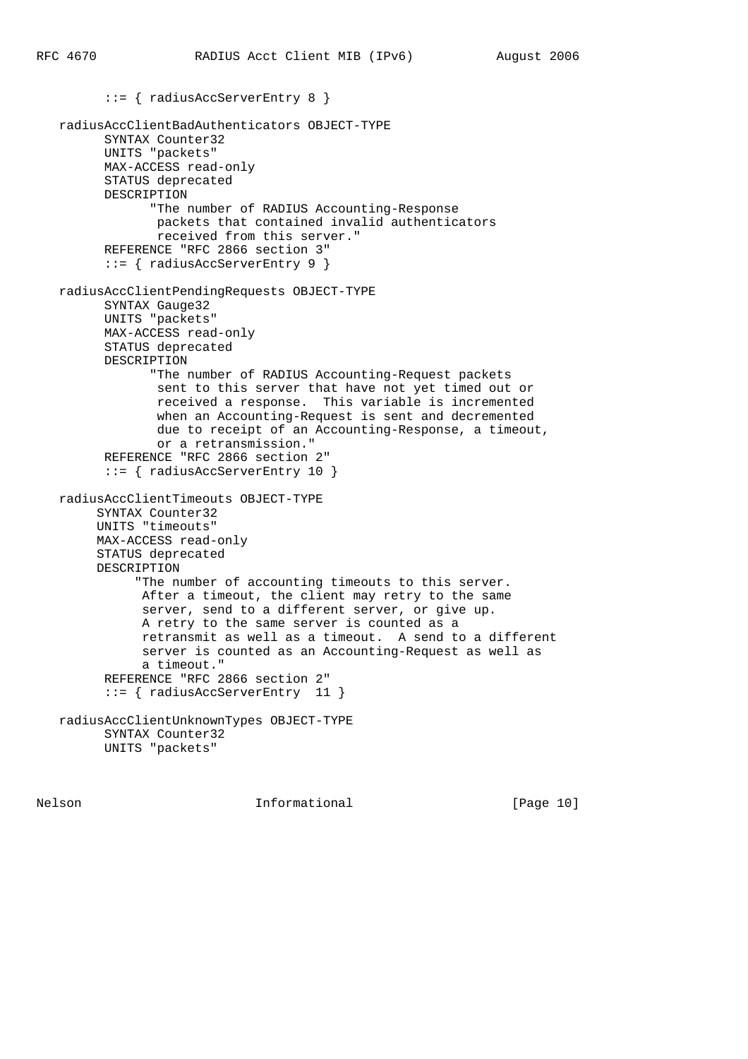::= { radiusAccServerEntry 8 }

```
 radiusAccClientBadAuthenticators OBJECT-TYPE
       SYNTAX Counter32
       UNITS "packets"
       MAX-ACCESS read-only
       STATUS deprecated
       DESCRIPTION
             "The number of RADIUS Accounting-Response
             packets that contained invalid authenticators
              received from this server."
       REFERENCE "RFC 2866 section 3"
       ::= { radiusAccServerEntry 9 }
 radiusAccClientPendingRequests OBJECT-TYPE
       SYNTAX Gauge32
       UNITS "packets"
       MAX-ACCESS read-only
       STATUS deprecated
       DESCRIPTION
             "The number of RADIUS Accounting-Request packets
              sent to this server that have not yet timed out or
              received a response. This variable is incremented
             when an Accounting-Request is sent and decremented
              due to receipt of an Accounting-Response, a timeout,
              or a retransmission."
       REFERENCE "RFC 2866 section 2"
       ::= { radiusAccServerEntry 10 }
 radiusAccClientTimeouts OBJECT-TYPE
      SYNTAX Counter32
      UNITS "timeouts"
      MAX-ACCESS read-only
      STATUS deprecated
      DESCRIPTION
           "The number of accounting timeouts to this server.
            After a timeout, the client may retry to the same
            server, send to a different server, or give up.
            A retry to the same server is counted as a
            retransmit as well as a timeout. A send to a different
            server is counted as an Accounting-Request as well as
            a timeout."
       REFERENCE "RFC 2866 section 2"
       ::= { radiusAccServerEntry 11 }
 radiusAccClientUnknownTypes OBJECT-TYPE
       SYNTAX Counter32
       UNITS "packets"
```
Nelson **Informational Informational** [Page 10]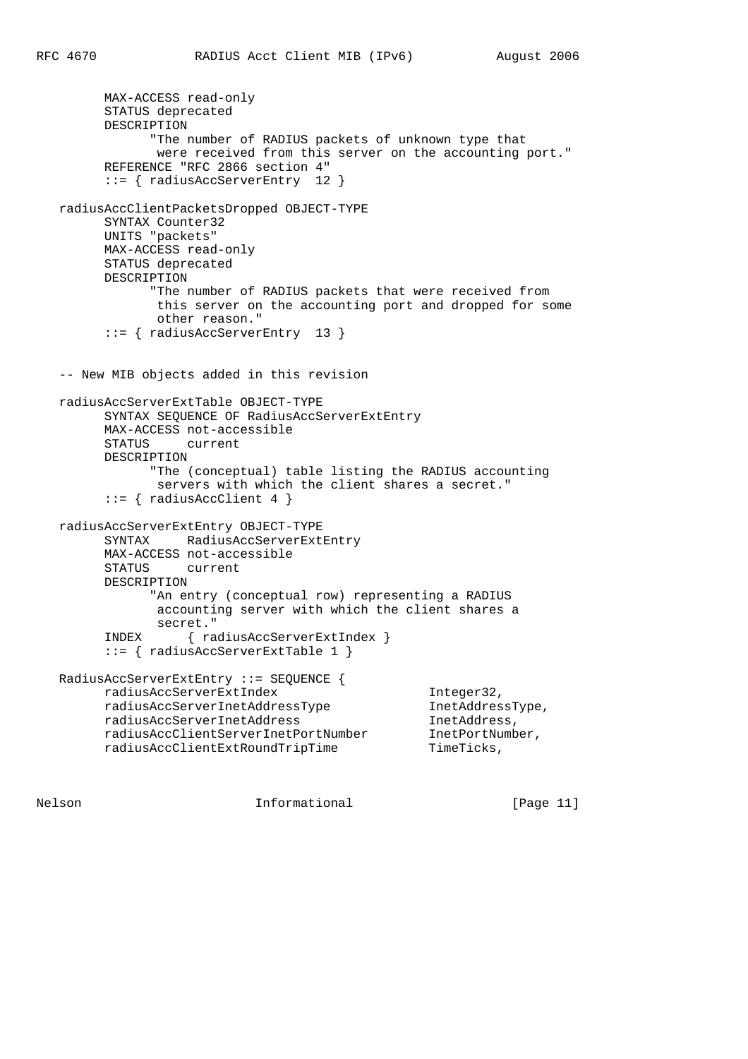MAX-ACCESS read-only STATUS deprecated DESCRIPTION "The number of RADIUS packets of unknown type that were received from this server on the accounting port." REFERENCE "RFC 2866 section 4" ::= { radiusAccServerEntry 12 } radiusAccClientPacketsDropped OBJECT-TYPE SYNTAX Counter32 UNITS "packets" MAX-ACCESS read-only STATUS deprecated DESCRIPTION "The number of RADIUS packets that were received from this server on the accounting port and dropped for some other reason." ::= { radiusAccServerEntry 13 } -- New MIB objects added in this revision radiusAccServerExtTable OBJECT-TYPE SYNTAX SEQUENCE OF RadiusAccServerExtEntry MAX-ACCESS not-accessible STATUS current DESCRIPTION "The (conceptual) table listing the RADIUS accounting servers with which the client shares a secret."  $::=$  { radiusAccClient 4 } radiusAccServerExtEntry OBJECT-TYPE SYNTAX RadiusAccServerExtEntry MAX-ACCESS not-accessible STATUS current DESCRIPTION "An entry (conceptual row) representing a RADIUS accounting server with which the client shares a secret." INDEX { radiusAccServerExtIndex } ::= { radiusAccServerExtTable 1 } RadiusAccServerExtEntry ::= SEQUENCE {  $\verb|radiusAccServerExtIndex| and \verb|usAccServerIntAddressType| and \verb|iusAccServerIntAddressType| and \verb|indClassType|,$  $\verb|radiusAccServerInetAddressType\n and \verb|iusAccServerInetAddress\n and \verb|used| and \verb|ress|, \verb|andness|, \verb|andness|, \verb|andness|, \verb|andness|, \verb|andness|, \verb|andness|, \verb|andness|, \verb|andness|, \verb|andness|, \verb|andness|, \verb|andness|, \verb|andness|, \verb|andness|, \verb|andness|, \verb|andness|, \verb|andness|, \verb|andness|, \verb|andness|, \verb|andness|, \verb|andness|, \verb|andness|, \verb|andness|, \verb|andness|, \verb|andness|, \verb|andness|, \verb|andness|,$  $\verb|radiusAccServerIntAddress| and \verb|iusAccClientServerIntPortNumber| and \verb|iusAccClientServerIntPortNumber| and \verb|inetPortNumber|, and \verb|inorder|, and \verb|outname|, and \verb|outname|, and \verb|outname|, and \verb|outname|, and \verb|outname|, and \verb|outname|, and \verb|outname|, and \verb|outname|, and \verb|outname|, and \verb|outname|, and \verb|outname|, and \verb|outname|, and \verb|outname|, and \verb|outname|, and \verb|outname|, and \verb|outname|, and \verb|outname|, and \verb|outname|, and \verb|outname|, and \verb|outname|, and \verb|outname|, and$ radiusAccClientServerInetPortNumber radiusAccClientExtRoundTripTime TimeTicks,

Nelson **Informational Informational** [Page 11]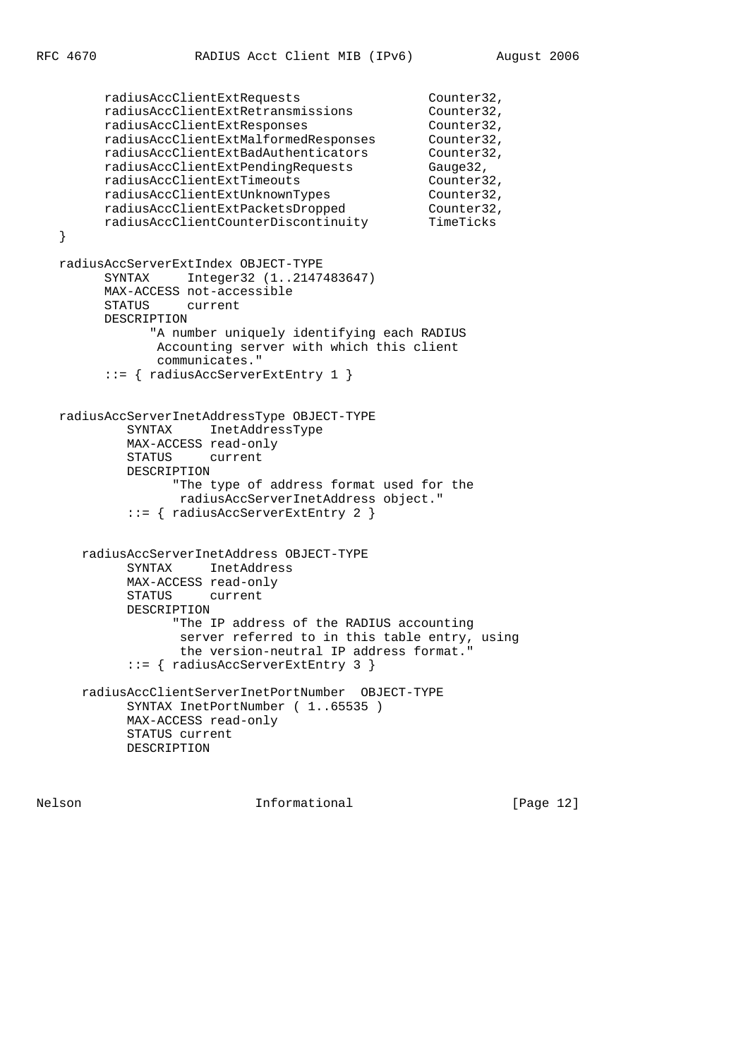```
 radiusAccClientExtRequests Counter32,
 radiusAccClientExtRetransmissions Counter32,
 radiusAccClientExtResponses Counter32,
 radiusAccClientExtMalformedResponses Counter32,
 radiusAccClientExtBadAuthenticators Counter32,
 radiusAccClientExtPendingRequests Gauge32,
 radiusAccClientExtTimeouts Counter32,
radiusAccClientExtUnknownTypes Counter32,
 radiusAccClientExtPacketsDropped Counter32,
 radiusAccClientCounterDiscontinuity TimeTicks
   }
   radiusAccServerExtIndex OBJECT-TYPE
        SYNTAX Integer32 (1..2147483647)
        MAX-ACCESS not-accessible
        STATUS current
        DESCRIPTION
              "A number uniquely identifying each RADIUS
              Accounting server with which this client
              communicates."
        ::= { radiusAccServerExtEntry 1 }
   radiusAccServerInetAddressType OBJECT-TYPE
           SYNTAX InetAddressType
           MAX-ACCESS read-only
           STATUS current
           DESCRIPTION
                 "The type of address format used for the
                 radiusAccServerInetAddress object."
           ::= { radiusAccServerExtEntry 2 }
      radiusAccServerInetAddress OBJECT-TYPE
           SYNTAX InetAddress
           MAX-ACCESS read-only
           STATUS current
           DESCRIPTION
                "The IP address of the RADIUS accounting
                 server referred to in this table entry, using
                 the version-neutral IP address format."
           ::= { radiusAccServerExtEntry 3 }
      radiusAccClientServerInetPortNumber OBJECT-TYPE
           SYNTAX InetPortNumber ( 1..65535 )
           MAX-ACCESS read-only
           STATUS current
           DESCRIPTION
```
Nelson **Informational Informational** [Page 12]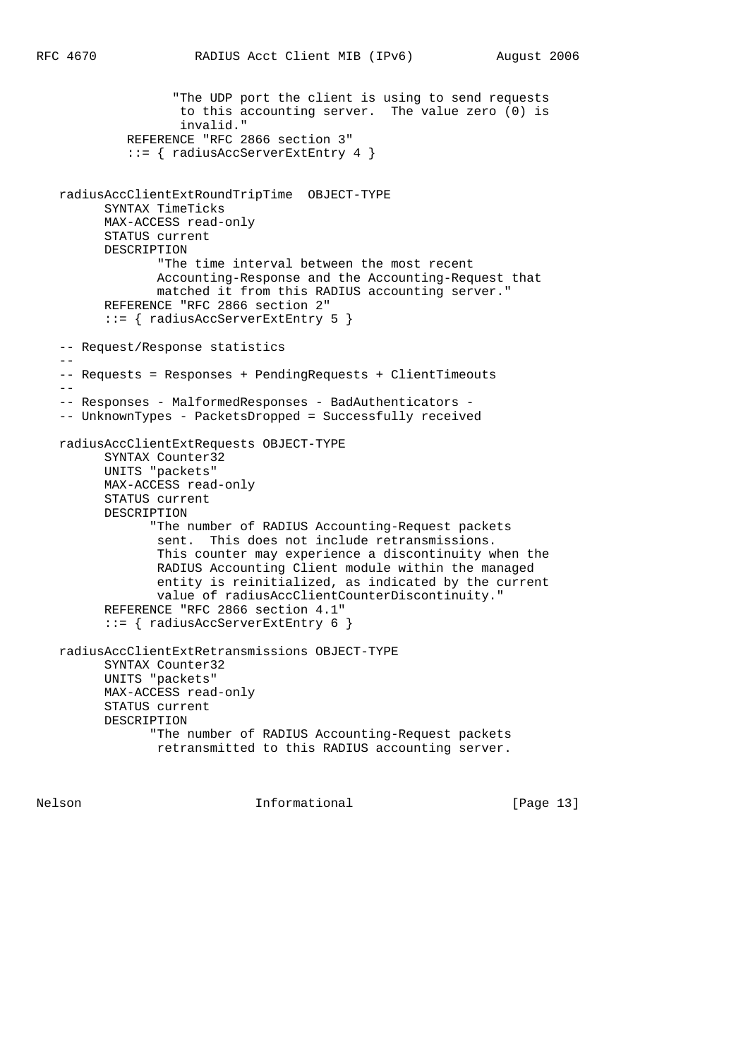```
 "The UDP port the client is using to send requests
                 to this accounting server. The value zero (0) is
                 invalid."
          REFERENCE "RFC 2866 section 3"
          ::= { radiusAccServerExtEntry 4 }
 radiusAccClientExtRoundTripTime OBJECT-TYPE
      SYNTAX TimeTicks
       MAX-ACCESS read-only
       STATUS current
       DESCRIPTION
              "The time interval between the most recent
              Accounting-Response and the Accounting-Request that
              matched it from this RADIUS accounting server."
       REFERENCE "RFC 2866 section 2"
       ::= { radiusAccServerExtEntry 5 }
 -- Request/Response statistics
- -- Requests = Responses + PendingRequests + ClientTimeouts
- -- Responses - MalformedResponses - BadAuthenticators -
 -- UnknownTypes - PacketsDropped = Successfully received
 radiusAccClientExtRequests OBJECT-TYPE
       SYNTAX Counter32
       UNITS "packets"
       MAX-ACCESS read-only
       STATUS current
       DESCRIPTION
             "The number of RADIUS Accounting-Request packets
              sent. This does not include retransmissions.
              This counter may experience a discontinuity when the
              RADIUS Accounting Client module within the managed
              entity is reinitialized, as indicated by the current
              value of radiusAccClientCounterDiscontinuity."
       REFERENCE "RFC 2866 section 4.1"
       ::= { radiusAccServerExtEntry 6 }
 radiusAccClientExtRetransmissions OBJECT-TYPE
       SYNTAX Counter32
       UNITS "packets"
       MAX-ACCESS read-only
       STATUS current
       DESCRIPTION
             "The number of RADIUS Accounting-Request packets
              retransmitted to this RADIUS accounting server.
```
Nelson **Informational Informational** [Page 13]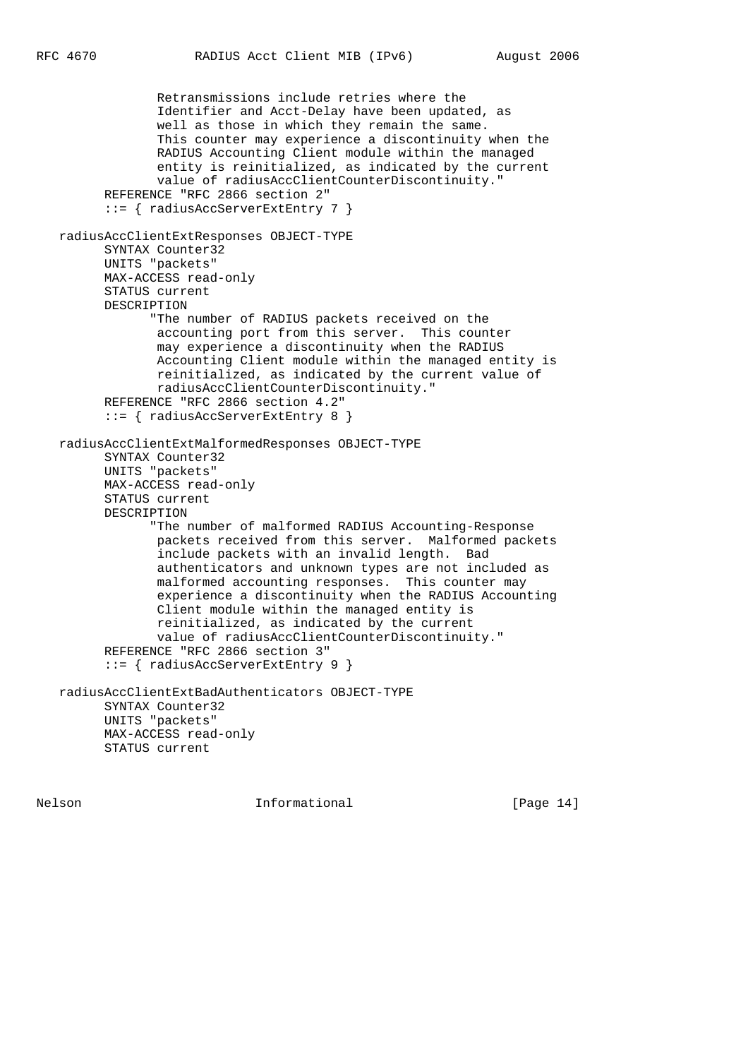```
 Retransmissions include retries where the
              Identifier and Acct-Delay have been updated, as
              well as those in which they remain the same.
              This counter may experience a discontinuity when the
              RADIUS Accounting Client module within the managed
              entity is reinitialized, as indicated by the current
              value of radiusAccClientCounterDiscontinuity."
       REFERENCE "RFC 2866 section 2"
       ::= { radiusAccServerExtEntry 7 }
 radiusAccClientExtResponses OBJECT-TYPE
       SYNTAX Counter32
       UNITS "packets"
       MAX-ACCESS read-only
       STATUS current
       DESCRIPTION
             "The number of RADIUS packets received on the
              accounting port from this server. This counter
              may experience a discontinuity when the RADIUS
              Accounting Client module within the managed entity is
              reinitialized, as indicated by the current value of
              radiusAccClientCounterDiscontinuity."
       REFERENCE "RFC 2866 section 4.2"
       ::= { radiusAccServerExtEntry 8 }
 radiusAccClientExtMalformedResponses OBJECT-TYPE
       SYNTAX Counter32
       UNITS "packets"
       MAX-ACCESS read-only
       STATUS current
       DESCRIPTION
             "The number of malformed RADIUS Accounting-Response
              packets received from this server. Malformed packets
              include packets with an invalid length. Bad
              authenticators and unknown types are not included as
              malformed accounting responses. This counter may
              experience a discontinuity when the RADIUS Accounting
              Client module within the managed entity is
              reinitialized, as indicated by the current
              value of radiusAccClientCounterDiscontinuity."
       REFERENCE "RFC 2866 section 3"
       ::= { radiusAccServerExtEntry 9 }
 radiusAccClientExtBadAuthenticators OBJECT-TYPE
       SYNTAX Counter32
       UNITS "packets"
       MAX-ACCESS read-only
       STATUS current
```
Nelson **Informational Informational** [Page 14]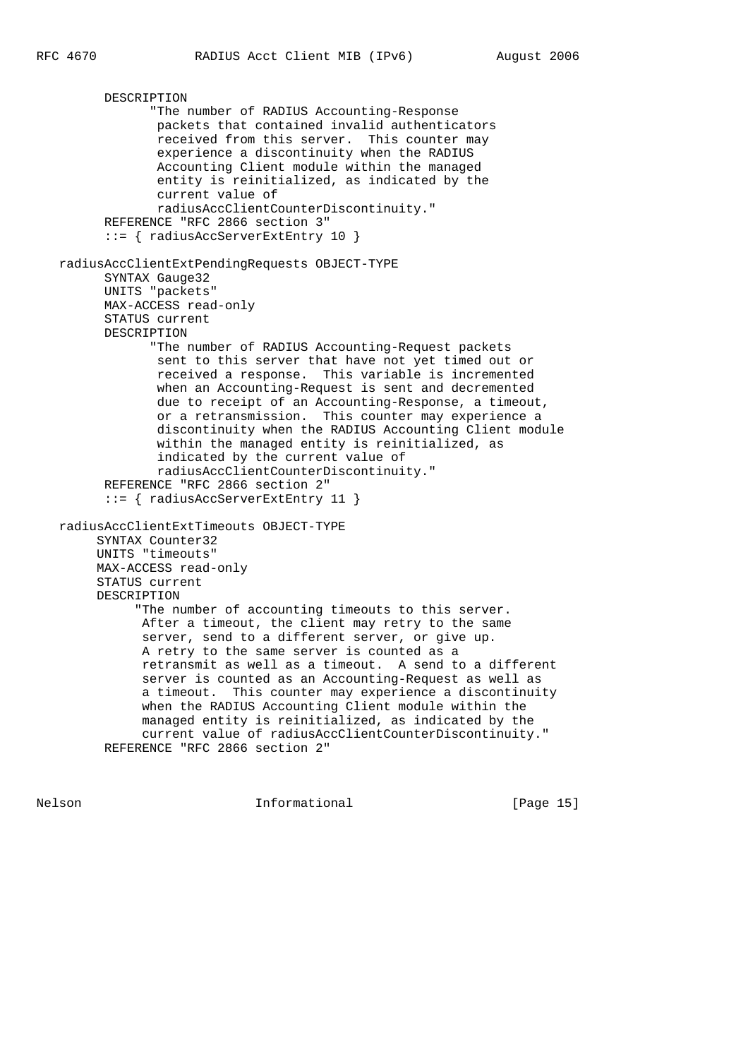```
 DESCRIPTION
             "The number of RADIUS Accounting-Response
              packets that contained invalid authenticators
              received from this server. This counter may
              experience a discontinuity when the RADIUS
              Accounting Client module within the managed
              entity is reinitialized, as indicated by the
              current value of
              radiusAccClientCounterDiscontinuity."
       REFERENCE "RFC 2866 section 3"
       ::= { radiusAccServerExtEntry 10 }
 radiusAccClientExtPendingRequests OBJECT-TYPE
       SYNTAX Gauge32
       UNITS "packets"
       MAX-ACCESS read-only
       STATUS current
       DESCRIPTION
             "The number of RADIUS Accounting-Request packets
              sent to this server that have not yet timed out or
              received a response. This variable is incremented
              when an Accounting-Request is sent and decremented
              due to receipt of an Accounting-Response, a timeout,
              or a retransmission. This counter may experience a
              discontinuity when the RADIUS Accounting Client module
              within the managed entity is reinitialized, as
              indicated by the current value of
              radiusAccClientCounterDiscontinuity."
       REFERENCE "RFC 2866 section 2"
       ::= { radiusAccServerExtEntry 11 }
 radiusAccClientExtTimeouts OBJECT-TYPE
      SYNTAX Counter32
      UNITS "timeouts"
      MAX-ACCESS read-only
      STATUS current
      DESCRIPTION
           "The number of accounting timeouts to this server.
            After a timeout, the client may retry to the same
            server, send to a different server, or give up.
            A retry to the same server is counted as a
            retransmit as well as a timeout. A send to a different
            server is counted as an Accounting-Request as well as
            a timeout. This counter may experience a discontinuity
            when the RADIUS Accounting Client module within the
            managed entity is reinitialized, as indicated by the
            current value of radiusAccClientCounterDiscontinuity."
       REFERENCE "RFC 2866 section 2"
```
Nelson **Informational Informational** [Page 15]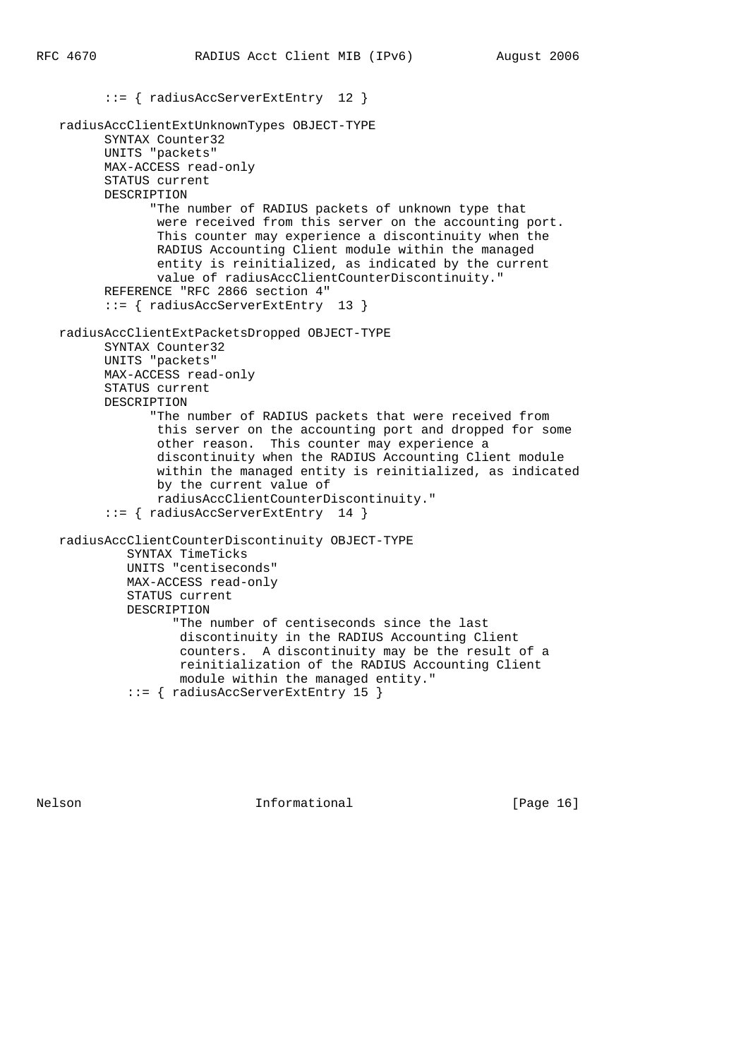```
 ::= { radiusAccServerExtEntry 12 }
 radiusAccClientExtUnknownTypes OBJECT-TYPE
       SYNTAX Counter32
       UNITS "packets"
       MAX-ACCESS read-only
       STATUS current
       DESCRIPTION
             "The number of RADIUS packets of unknown type that
              were received from this server on the accounting port.
              This counter may experience a discontinuity when the
              RADIUS Accounting Client module within the managed
              entity is reinitialized, as indicated by the current
              value of radiusAccClientCounterDiscontinuity."
       REFERENCE "RFC 2866 section 4"
       ::= { radiusAccServerExtEntry 13 }
 radiusAccClientExtPacketsDropped OBJECT-TYPE
       SYNTAX Counter32
       UNITS "packets"
       MAX-ACCESS read-only
       STATUS current
       DESCRIPTION
             "The number of RADIUS packets that were received from
              this server on the accounting port and dropped for some
              other reason. This counter may experience a
              discontinuity when the RADIUS Accounting Client module
              within the managed entity is reinitialized, as indicated
              by the current value of
              radiusAccClientCounterDiscontinuity."
       ::= { radiusAccServerExtEntry 14 }
 radiusAccClientCounterDiscontinuity OBJECT-TYPE
          SYNTAX TimeTicks
          UNITS "centiseconds"
          MAX-ACCESS read-only
          STATUS current
          DESCRIPTION
                "The number of centiseconds since the last
                 discontinuity in the RADIUS Accounting Client
                 counters. A discontinuity may be the result of a
                 reinitialization of the RADIUS Accounting Client
                 module within the managed entity."
```
::= { radiusAccServerExtEntry 15 }

Nelson **Informational Informational** [Page 16]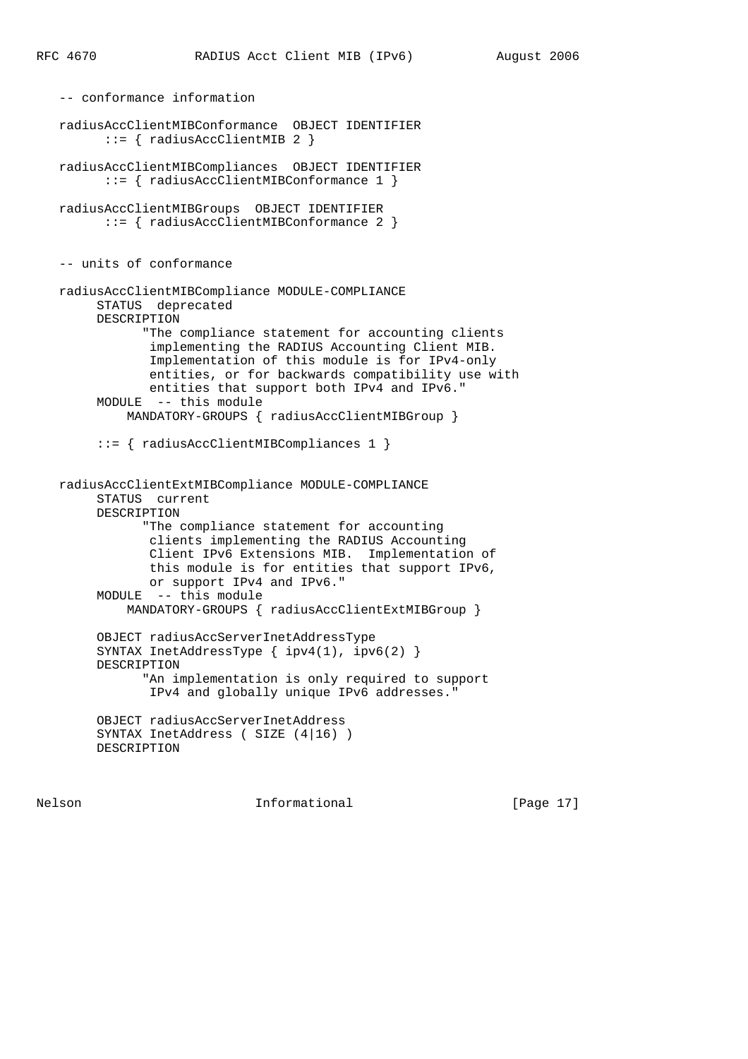-- conformance information radiusAccClientMIBConformance OBJECT IDENTIFIER ::= { radiusAccClientMIB 2 } radiusAccClientMIBCompliances OBJECT IDENTIFIER ::= { radiusAccClientMIBConformance 1 } radiusAccClientMIBGroups OBJECT IDENTIFIER ::= { radiusAccClientMIBConformance 2 } -- units of conformance radiusAccClientMIBCompliance MODULE-COMPLIANCE STATUS deprecated DESCRIPTION "The compliance statement for accounting clients implementing the RADIUS Accounting Client MIB. Implementation of this module is for IPv4-only entities, or for backwards compatibility use with entities that support both IPv4 and IPv6." MODULE -- this module MANDATORY-GROUPS { radiusAccClientMIBGroup } ::= { radiusAccClientMIBCompliances 1 } radiusAccClientExtMIBCompliance MODULE-COMPLIANCE STATUS current DESCRIPTION "The compliance statement for accounting clients implementing the RADIUS Accounting Client IPv6 Extensions MIB. Implementation of this module is for entities that support IPv6, or support IPv4 and IPv6." MODULE -- this module MANDATORY-GROUPS { radiusAccClientExtMIBGroup } OBJECT radiusAccServerInetAddressType SYNTAX InetAddressType { ipv4(1), ipv6(2) } DESCRIPTION "An implementation is only required to support IPv4 and globally unique IPv6 addresses." OBJECT radiusAccServerInetAddress SYNTAX InetAddress ( SIZE (4|16) ) DESCRIPTION

Nelson **Informational Informational** [Page 17]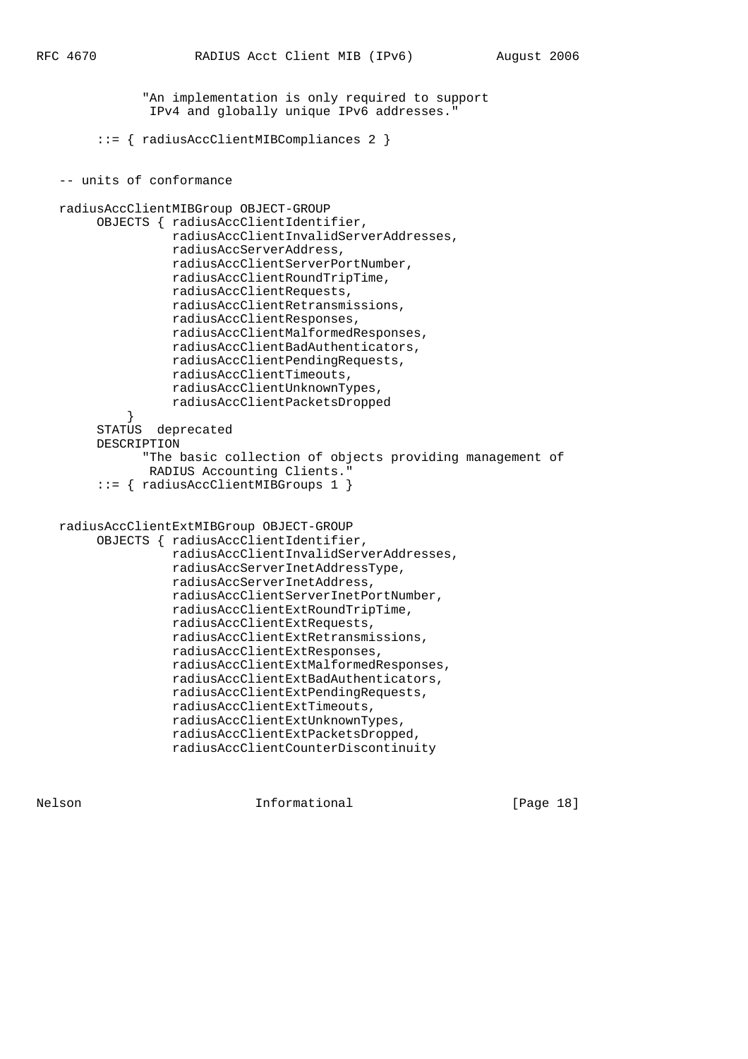"An implementation is only required to support IPv4 and globally unique IPv6 addresses." ::= { radiusAccClientMIBCompliances 2 } -- units of conformance radiusAccClientMIBGroup OBJECT-GROUP OBJECTS { radiusAccClientIdentifier, radiusAccClientInvalidServerAddresses, radiusAccServerAddress, radiusAccClientServerPortNumber, radiusAccClientRoundTripTime, radiusAccClientRequests, radiusAccClientRetransmissions, radiusAccClientResponses, radiusAccClientMalformedResponses, radiusAccClientBadAuthenticators, radiusAccClientPendingRequests, radiusAccClientTimeouts, radiusAccClientUnknownTypes, radiusAccClientPacketsDropped } STATUS deprecated DESCRIPTION "The basic collection of objects providing management of RADIUS Accounting Clients." ::= { radiusAccClientMIBGroups 1 } radiusAccClientExtMIBGroup OBJECT-GROUP OBJECTS { radiusAccClientIdentifier, radiusAccClientInvalidServerAddresses, radiusAccServerInetAddressType, radiusAccServerInetAddress, radiusAccClientServerInetPortNumber, radiusAccClientExtRoundTripTime, radiusAccClientExtRequests, radiusAccClientExtRetransmissions, radiusAccClientExtResponses, radiusAccClientExtMalformedResponses, radiusAccClientExtBadAuthenticators, radiusAccClientExtPendingRequests, radiusAccClientExtTimeouts, radiusAccClientExtUnknownTypes, radiusAccClientExtPacketsDropped,

Nelson **Informational Informational** [Page 18]

radiusAccClientCounterDiscontinuity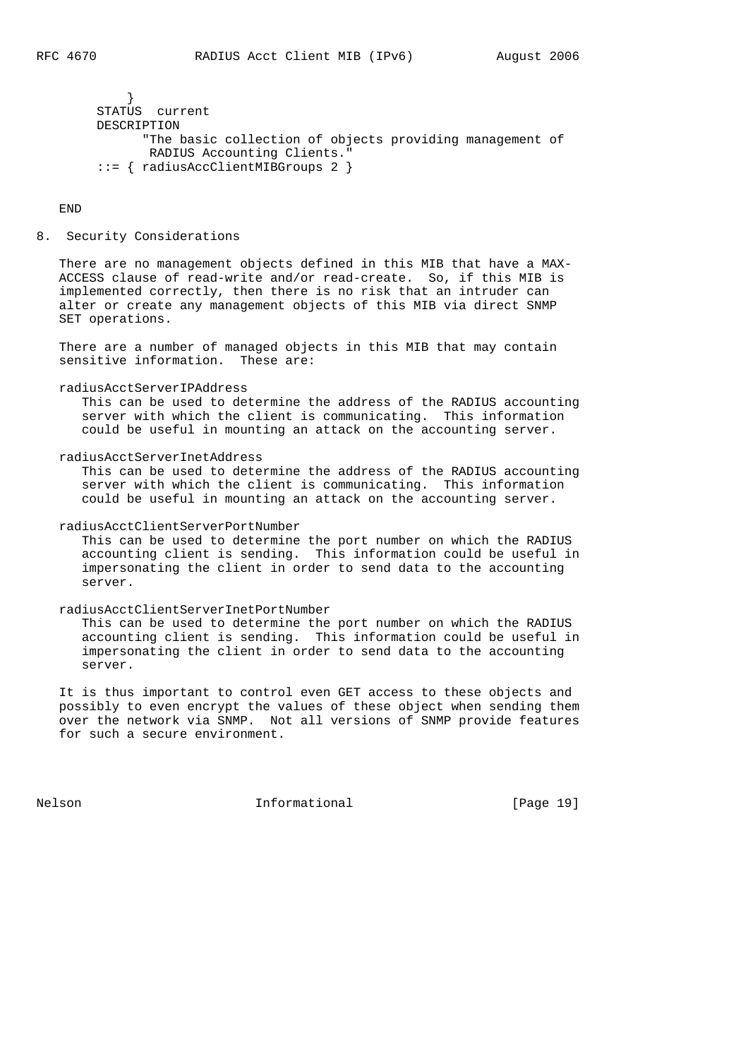```
 }
 STATUS current
 DESCRIPTION
       "The basic collection of objects providing management of
       RADIUS Accounting Clients."
 ::= { radiusAccClientMIBGroups 2 }
```
#### END

8. Security Considerations

 There are no management objects defined in this MIB that have a MAX- ACCESS clause of read-write and/or read-create. So, if this MIB is implemented correctly, then there is no risk that an intruder can alter or create any management objects of this MIB via direct SNMP SET operations.

 There are a number of managed objects in this MIB that may contain sensitive information. These are:

#### radiusAcctServerIPAddress

 This can be used to determine the address of the RADIUS accounting server with which the client is communicating. This information could be useful in mounting an attack on the accounting server.

#### radiusAcctServerInetAddress

 This can be used to determine the address of the RADIUS accounting server with which the client is communicating. This information could be useful in mounting an attack on the accounting server.

#### radiusAcctClientServerPortNumber

 This can be used to determine the port number on which the RADIUS accounting client is sending. This information could be useful in impersonating the client in order to send data to the accounting server.

#### radiusAcctClientServerInetPortNumber

 This can be used to determine the port number on which the RADIUS accounting client is sending. This information could be useful in impersonating the client in order to send data to the accounting server.

 It is thus important to control even GET access to these objects and possibly to even encrypt the values of these object when sending them over the network via SNMP. Not all versions of SNMP provide features for such a secure environment.

Nelson **Informational Informational** [Page 19]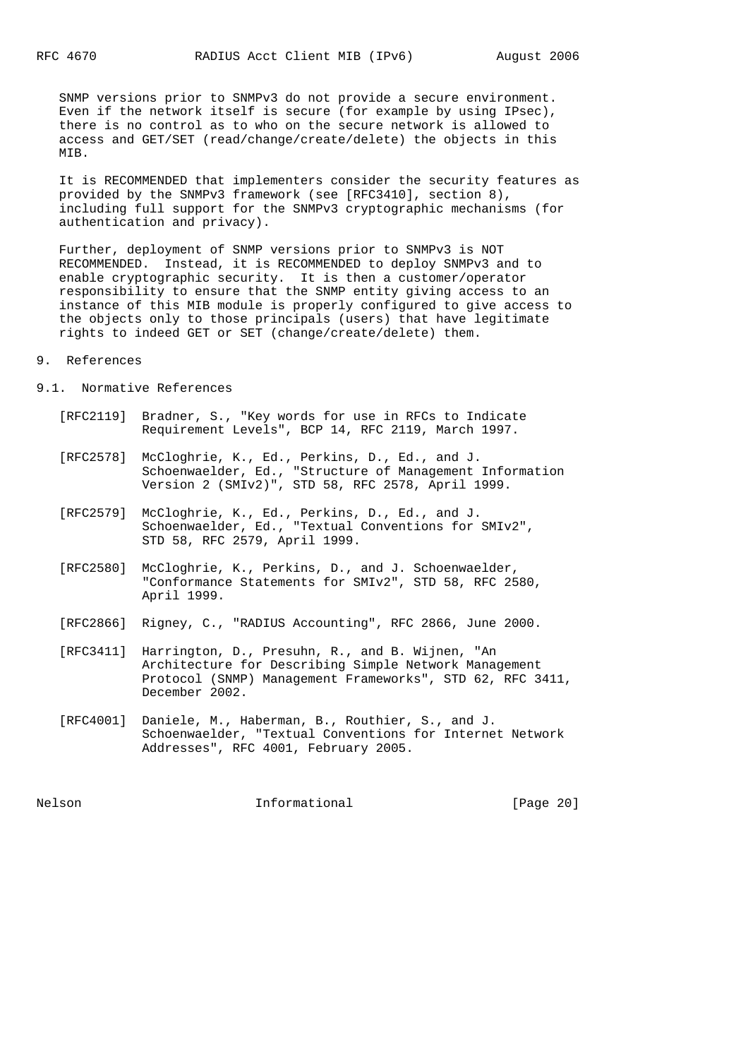SNMP versions prior to SNMPv3 do not provide a secure environment. Even if the network itself is secure (for example by using IPsec), there is no control as to who on the secure network is allowed to access and GET/SET (read/change/create/delete) the objects in this MTB.

 It is RECOMMENDED that implementers consider the security features as provided by the SNMPv3 framework (see [RFC3410], section 8), including full support for the SNMPv3 cryptographic mechanisms (for authentication and privacy).

 Further, deployment of SNMP versions prior to SNMPv3 is NOT RECOMMENDED. Instead, it is RECOMMENDED to deploy SNMPv3 and to enable cryptographic security. It is then a customer/operator responsibility to ensure that the SNMP entity giving access to an instance of this MIB module is properly configured to give access to the objects only to those principals (users) that have legitimate rights to indeed GET or SET (change/create/delete) them.

## 9. References

- 9.1. Normative References
	- [RFC2119] Bradner, S., "Key words for use in RFCs to Indicate Requirement Levels", BCP 14, RFC 2119, March 1997.
	- [RFC2578] McCloghrie, K., Ed., Perkins, D., Ed., and J. Schoenwaelder, Ed., "Structure of Management Information Version 2 (SMIv2)", STD 58, RFC 2578, April 1999.
	- [RFC2579] McCloghrie, K., Ed., Perkins, D., Ed., and J. Schoenwaelder, Ed., "Textual Conventions for SMIv2", STD 58, RFC 2579, April 1999.
	- [RFC2580] McCloghrie, K., Perkins, D., and J. Schoenwaelder, "Conformance Statements for SMIv2", STD 58, RFC 2580, April 1999.
	- [RFC2866] Rigney, C., "RADIUS Accounting", RFC 2866, June 2000.
	- [RFC3411] Harrington, D., Presuhn, R., and B. Wijnen, "An Architecture for Describing Simple Network Management Protocol (SNMP) Management Frameworks", STD 62, RFC 3411, December 2002.
	- [RFC4001] Daniele, M., Haberman, B., Routhier, S., and J. Schoenwaelder, "Textual Conventions for Internet Network Addresses", RFC 4001, February 2005.

Nelson **Informational Informational** [Page 20]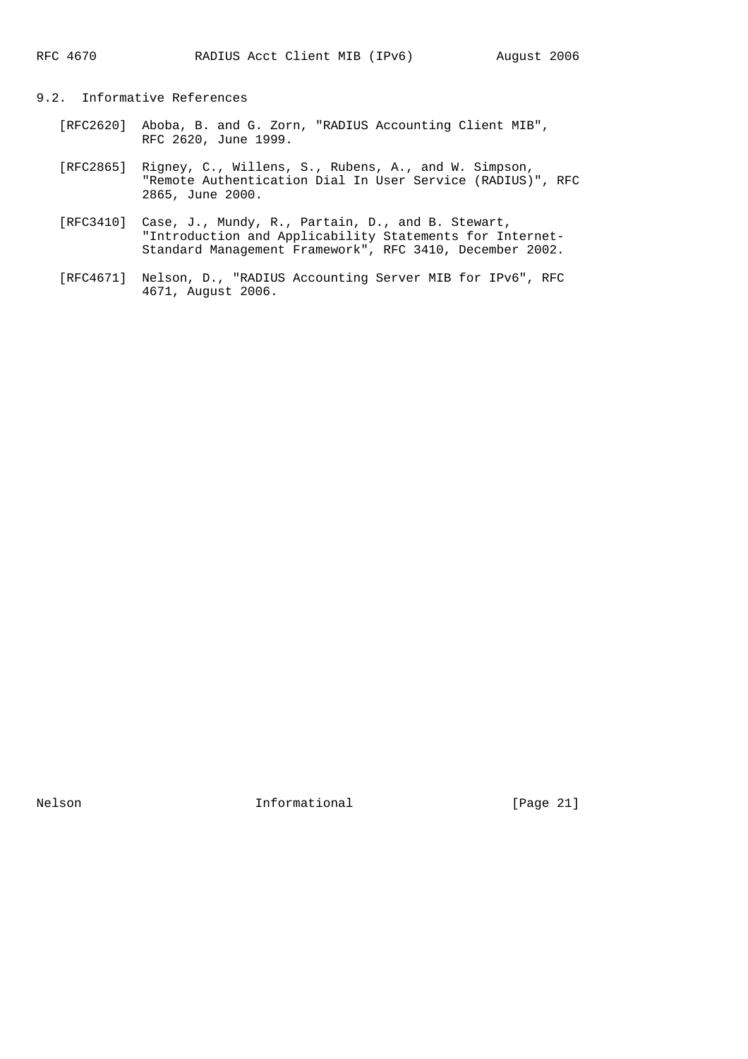## 9.2. Informative References

- [RFC2620] Aboba, B. and G. Zorn, "RADIUS Accounting Client MIB", RFC 2620, June 1999.
- [RFC2865] Rigney, C., Willens, S., Rubens, A., and W. Simpson, "Remote Authentication Dial In User Service (RADIUS)", RFC 2865, June 2000.
- [RFC3410] Case, J., Mundy, R., Partain, D., and B. Stewart, "Introduction and Applicability Statements for Internet- Standard Management Framework", RFC 3410, December 2002.
- [RFC4671] Nelson, D., "RADIUS Accounting Server MIB for IPv6", RFC 4671, August 2006.

Nelson 1nformational [Page 21]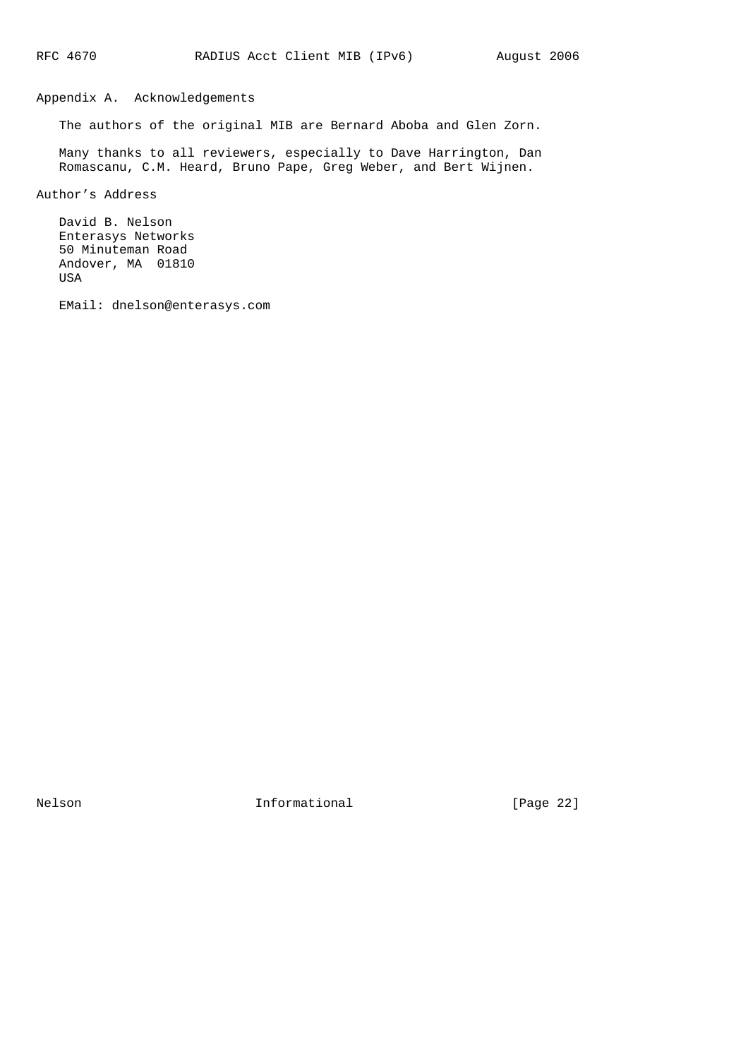# Appendix A. Acknowledgements

The authors of the original MIB are Bernard Aboba and Glen Zorn.

 Many thanks to all reviewers, especially to Dave Harrington, Dan Romascanu, C.M. Heard, Bruno Pape, Greg Weber, and Bert Wijnen.

Author's Address

 David B. Nelson Enterasys Networks 50 Minuteman Road Andover, MA 01810 USA

EMail: dnelson@enterasys.com

Nelson 1nformational [Page 22]